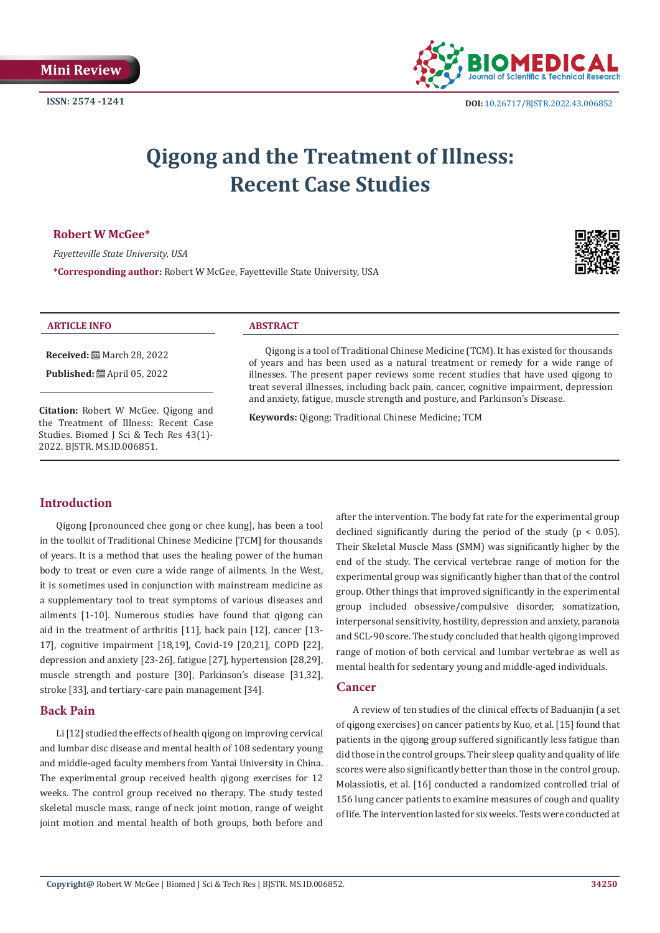

# **Qigong and the Treatment of Illness: Recent Case Studies**

#### **Robert W McGee\***

*Fayetteville State University, USA*

**\*Corresponding author:** Robert W McGee, Fayetteville State University, USA



#### **ARTICLE INFO ABSTRACT**

**Received:** March 28, 2022

**Published:** ■ April 05, 2022

**Citation:** Robert W McGee. Qigong and the Treatment of Illness: Recent Case Studies. Biomed J Sci & Tech Res 43(1)-2022. BJSTR. MS.ID.006851.

Qigong is a tool of Traditional Chinese Medicine (TCM). It has existed for thousands of years and has been used as a natural treatment or remedy for a wide range of illnesses. The present paper reviews some recent studies that have used qigong to treat several illnesses, including back pain, cancer, cognitive impairment, depression and anxiety, fatigue, muscle strength and posture, and Parkinson's Disease.

**Keywords:** Qigong; Traditional Chinese Medicine; TCM

# **Introduction**

Qigong [pronounced chee gong or chee kung], has been a tool in the toolkit of Traditional Chinese Medicine [TCM] for thousands of years. It is a method that uses the healing power of the human body to treat or even cure a wide range of ailments. In the West, it is sometimes used in conjunction with mainstream medicine as a supplementary tool to treat symptoms of various diseases and ailments [1-10]. Numerous studies have found that qigong can aid in the treatment of arthritis [11], back pain [12], cancer [13- 17], cognitive impairment [18,19], Covid-19 [20,21], COPD [22], depression and anxiety [23-26], fatigue [27], hypertension [28,29], muscle strength and posture [30], Parkinson's disease [31,32], stroke [33], and tertiary-care pain management [34].

#### **Back Pain**

Li [12] studied the effects of health qigong on improving cervical and lumbar disc disease and mental health of 108 sedentary young and middle-aged faculty members from Yantai University in China. The experimental group received health qigong exercises for 12 weeks. The control group received no therapy. The study tested skeletal muscle mass, range of neck joint motion, range of weight joint motion and mental health of both groups, both before and

after the intervention. The body fat rate for the experimental group declined significantly during the period of the study ( $p < 0.05$ ). Their Skeletal Muscle Mass (SMM) was significantly higher by the end of the study. The cervical vertebrae range of motion for the experimental group was significantly higher than that of the control group. Other things that improved significantly in the experimental group included obsessive/compulsive disorder, somatization, interpersonal sensitivity, hostility, depression and anxiety, paranoia and SCL-90 score. The study concluded that health qigong improved range of motion of both cervical and lumbar vertebrae as well as mental health for sedentary young and middle-aged individuals.

#### **Cancer**

A review of ten studies of the clinical effects of Baduanjin (a set of qigong exercises) on cancer patients by Kuo, et al. [15] found that patients in the qigong group suffered significantly less fatigue than did those in the control groups. Their sleep quality and quality of life scores were also significantly better than those in the control group. Molassiotis, et al. [16] conducted a randomized controlled trial of 156 lung cancer patients to examine measures of cough and quality of life. The intervention lasted for six weeks. Tests were conducted at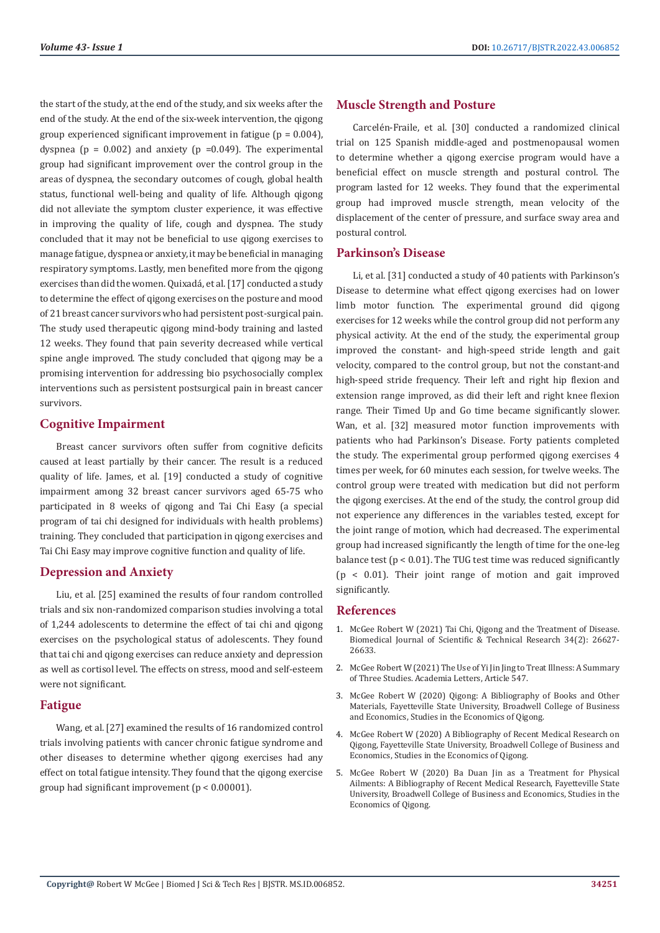the start of the study, at the end of the study, and six weeks after the end of the study. At the end of the six-week intervention, the qigong group experienced significant improvement in fatigue ( $p = 0.004$ ). dyspnea ( $p = 0.002$ ) and anxiety ( $p = 0.049$ ). The experimental group had significant improvement over the control group in the areas of dyspnea, the secondary outcomes of cough, global health status, functional well-being and quality of life. Although qigong did not alleviate the symptom cluster experience, it was effective in improving the quality of life, cough and dyspnea. The study concluded that it may not be beneficial to use qigong exercises to manage fatigue, dyspnea or anxiety, it may be beneficial in managing respiratory symptoms. Lastly, men benefited more from the qigong exercises than did the women. Quixadá, et al. [17] conducted a study to determine the effect of qigong exercises on the posture and mood of 21 breast cancer survivors who had persistent post-surgical pain. The study used therapeutic qigong mind-body training and lasted 12 weeks. They found that pain severity decreased while vertical spine angle improved. The study concluded that qigong may be a promising intervention for addressing bio psychosocially complex interventions such as persistent postsurgical pain in breast cancer survivors.

# **Cognitive Impairment**

Breast cancer survivors often suffer from cognitive deficits caused at least partially by their cancer. The result is a reduced quality of life. James, et al. [19] conducted a study of cognitive impairment among 32 breast cancer survivors aged 65-75 who participated in 8 weeks of qigong and Tai Chi Easy (a special program of tai chi designed for individuals with health problems) training. They concluded that participation in qigong exercises and Tai Chi Easy may improve cognitive function and quality of life.

# **Depression and Anxiety**

Liu, et al. [25] examined the results of four random controlled trials and six non-randomized comparison studies involving a total of 1,244 adolescents to determine the effect of tai chi and qigong exercises on the psychological status of adolescents. They found that tai chi and qigong exercises can reduce anxiety and depression as well as cortisol level. The effects on stress, mood and self-esteem were not significant.

# **Fatigue**

Wang, et al. [27] examined the results of 16 randomized control trials involving patients with cancer chronic fatigue syndrome and other diseases to determine whether qigong exercises had any effect on total fatigue intensity. They found that the qigong exercise group had significant improvement (p < 0.00001).

### **Muscle Strength and Posture**

Carcelén-Fraile, et al. [30] conducted a randomized clinical trial on 125 Spanish middle-aged and postmenopausal women to determine whether a qigong exercise program would have a beneficial effect on muscle strength and postural control. The program lasted for 12 weeks. They found that the experimental group had improved muscle strength, mean velocity of the displacement of the center of pressure, and surface sway area and postural control.

#### **Parkinson's Disease**

Li, et al. [31] conducted a study of 40 patients with Parkinson's Disease to determine what effect qigong exercises had on lower limb motor function. The experimental ground did qigong exercises for 12 weeks while the control group did not perform any physical activity. At the end of the study, the experimental group improved the constant- and high-speed stride length and gait velocity, compared to the control group, but not the constant-and high-speed stride frequency. Their left and right hip flexion and extension range improved, as did their left and right knee flexion range. Their Timed Up and Go time became significantly slower. Wan, et al. [32] measured motor function improvements with patients who had Parkinson's Disease. Forty patients completed the study. The experimental group performed qigong exercises 4 times per week, for 60 minutes each session, for twelve weeks. The control group were treated with medication but did not perform the qigong exercises. At the end of the study, the control group did not experience any differences in the variables tested, except for the joint range of motion, which had decreased. The experimental group had increased significantly the length of time for the one-leg balance test (p < 0.01). The TUG test time was reduced significantly (p < 0.01). Their joint range of motion and gait improved significantly.

# **References**

- 1. [McGee Robert W \(2021\) Tai Chi, Qigong and the Treatment of Disease.](https://biomedres.us/pdfs/BJSTR.MS.ID.005531.pdf) [Biomedical Journal of Scientific & Technical Research 34\(2\): 26627-](https://biomedres.us/pdfs/BJSTR.MS.ID.005531.pdf) [26633.](https://biomedres.us/pdfs/BJSTR.MS.ID.005531.pdf)
- 2. McGee Robert W (2021) The Use of Yi Jin Jing to [T](http://ssrn.com/abstract=3685542)reat Illness: A Summary of Three Studies. Academia Letters, Article 547.
- 3. [McGee Robert W \(2020\) Qigong: A Bibliography of Books and Other](http://ssrn.com/abstract=3685542) [Materials, Fayetteville State University, Broadwell College of Business](http://ssrn.com/abstract=3685542) [and Economics, Studies in the Economics of Qigong.](http://ssrn.com/abstract=3685542)
- 4. [McGee Robert W \(2020\) A Bibliography of Recent Medical Research on](http://ssrn.com/abstract=3685561) [Qigong, Fayetteville State University, Broadwell College of Business and](http://ssrn.com/abstract=3685561) [Economics, Studies in the Economics of Qigong.](http://ssrn.com/abstract=3685561)
- 5. [McGee Robert W \(2020\) Ba Duan Jin as a Treatment for Physical](https://ssrn.com/abstract=3685571) [Ailments: A Bibliography of Recent Medical Research, Fayetteville State](https://ssrn.com/abstract=3685571) [University, Broadwell College of Business and Economics, Studies in the](https://ssrn.com/abstract=3685571) [Economics of Qigong.](https://ssrn.com/abstract=3685571)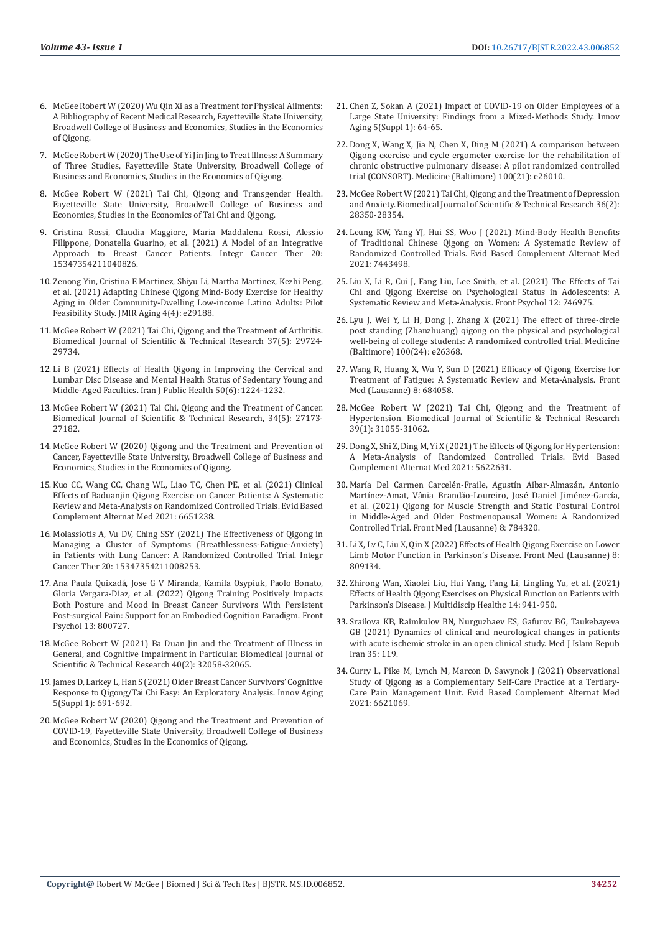- 6. [McGee Robert W \(2020\) Wu Qin Xi as a Treatment for Physical Ailments:](https://ssrn.com/abstract=3685575)  [A Bibliography of Recent Medical Research, Fayetteville State University,](https://ssrn.com/abstract=3685575)  [Broadwell College of Business and Economics, Studies in the Economics](https://ssrn.com/abstract=3685575)  [of Qigong.](https://ssrn.com/abstract=3685575)
- 7. [McGee Robert W \(2020\) The Use of Yi Jin Jing to Treat Illness: A Summary](https://ssrn.com/abstract=3685577)  [of Three Studies, Fayetteville State University, Broadwell College of](https://ssrn.com/abstract=3685577)  [Business and Economics, Studies in the Economics of Qigong.](https://ssrn.com/abstract=3685577)
- 8. McGee Robert W (2021) Tai Chi, Qigong and Transgender Health. Fayetteville State University, Broadwell College of Business and Economics, Studies in the Economics of Tai Chi and Qigong.
- 9. [Cristina Rossi, Claudia Maggiore, Maria Maddalena Rossi, Alessio](https://pubmed.ncbi.nlm.nih.gov/34670415/)  [Filippone, Donatella Guarino, et al. \(2021\) A Model of an Integrative](https://pubmed.ncbi.nlm.nih.gov/34670415/)  [Approach to Breast Cancer Patients. Integr Cancer Ther 20:](https://pubmed.ncbi.nlm.nih.gov/34670415/)  [15347354211040826.](https://pubmed.ncbi.nlm.nih.gov/34670415/)
- 10. [Zenong Yin, Cristina E Martinez, Shiyu Li, Martha Martinez, Kezhi Peng,](https://pubmed.ncbi.nlm.nih.gov/34723824/)  [et al. \(2021\) Adapting Chinese Qigong Mind-Body Exercise for Healthy](https://pubmed.ncbi.nlm.nih.gov/34723824/)  [Aging in Older Community-Dwelling Low-income Latino Adults: Pilot](https://pubmed.ncbi.nlm.nih.gov/34723824/)  [Feasibility Study. JMIR Aging 4\(4\): e29188.](https://pubmed.ncbi.nlm.nih.gov/34723824/)
- 11. [McGee Robert W \(2021\) Tai Chi, Qigong and the Treatment of Arthritis.](https://biomedres.us/pdfs/BJSTR.MS.ID.006051.pdf)  [Biomedical Journal of Scientific & Technical Research 37\(5\): 29724-](https://biomedres.us/pdfs/BJSTR.MS.ID.006051.pdf) [29734.](https://biomedres.us/pdfs/BJSTR.MS.ID.006051.pdf)
- 12. [Li B \(2021\) Effects of Health Qigong in Improving the Cervical and](https://pubmed.ncbi.nlm.nih.gov/34540743/)  [Lumbar Disc Disease and Mental Health Status of Sedentary Young and](https://pubmed.ncbi.nlm.nih.gov/34540743/)  [Middle-Aged Faculties. Iran J Public Health 50\(6\): 1224-1232.](https://pubmed.ncbi.nlm.nih.gov/34540743/)
- 13. [McGee Robert W \(2021\) Tai Chi, Qigong and the Treatment of Cancer.](https://biomedres.us/pdfs/BJSTR.MS.ID.005621.pdf)  [Biomedical Journal of Scientific & Technical Research, 34\(5\): 27173-](https://biomedres.us/pdfs/BJSTR.MS.ID.005621.pdf) [27182.](https://biomedres.us/pdfs/BJSTR.MS.ID.005621.pdf)
- 14. [McGee Robert W \(2020\) Qigong and the Treatment and Prevention of](https://ssrn.com/abstract=3692125)  [Cancer, Fayetteville State University, Broadwell College of Business and](https://ssrn.com/abstract=3692125)  [Economics, Studies in the Economics of Qigong.](https://ssrn.com/abstract=3692125)
- 15. [Kuo CC, Wang CC, Chang WL, Liao TC, Chen PE, et al. \(2021\) Clinical](https://pubmed.ncbi.nlm.nih.gov/33880125/)  [Effects of Baduanjin Qigong Exercise on Cancer Patients: A Systematic](https://pubmed.ncbi.nlm.nih.gov/33880125/)  [Review and Meta-Analysis on Randomized Controlled Trials. Evid Based](https://pubmed.ncbi.nlm.nih.gov/33880125/)  [Complement Alternat Med 2021: 6651238.](https://pubmed.ncbi.nlm.nih.gov/33880125/)
- 16. [Molassiotis A, Vu DV, Ching SSY \(2021\) The Effectiveness of Qigong in](https://pubmed.ncbi.nlm.nih.gov/33847150/)  [Managing a Cluster of Symptoms \(Breathlessness-Fatigue-Anxiety\)](https://pubmed.ncbi.nlm.nih.gov/33847150/)  [in Patients with Lung Cancer: A Randomized Controlled Trial. Integr](https://pubmed.ncbi.nlm.nih.gov/33847150/)  [Cancer Ther 20: 15347354211008253.](https://pubmed.ncbi.nlm.nih.gov/33847150/)
- 17. [Ana Paula Quixadá, Jose G V Miranda, Kamila Osypiuk, Paolo Bonato,](https://pubmed.ncbi.nlm.nih.gov/35265005/)  [Gloria Vergara-Diaz, et al. \(2022\) Qigong Training Positively Impacts](https://pubmed.ncbi.nlm.nih.gov/35265005/)  [Both Posture and Mood in Breast Cancer Survivors With Persistent](https://pubmed.ncbi.nlm.nih.gov/35265005/)  [Post-surgical Pain: Support for an Embodied Cognition Paradigm. Front](https://pubmed.ncbi.nlm.nih.gov/35265005/)  [Psychol 13: 800727.](https://pubmed.ncbi.nlm.nih.gov/35265005/)
- 18. [McGee Robert W \(2021\) Ba Duan Jin and the Treatment of Illness in](https://biomedres.us/pdfs/BJSTR.MS.ID.006424.pdf)  [General, and Cognitive Impairment in Particular. Biomedical Journal of](https://biomedres.us/pdfs/BJSTR.MS.ID.006424.pdf)  [Scientific & Technical Research 40\(2\): 32058-32065.](https://biomedres.us/pdfs/BJSTR.MS.ID.006424.pdf)
- 19. [James D, Larkey L, Han S \(2021\) Older Breast Cancer Survivors' Cognitive](https://europepmc.org/article/pmc/pmc8681352)  [Response to Qigong/Tai Chi Easy: An Exploratory Analysis. Innov Aging](https://europepmc.org/article/pmc/pmc8681352)  [5\(Suppl 1\): 691-692.](https://europepmc.org/article/pmc/pmc8681352)
- 20. [McGee Robert W \(2020\) Qigong and the Treatment and Prevention of](https://europepmc.org/article/PPR/PPR245323%20and%20https:/plus.europepmc.org/)  [COVID-19, Fayetteville State University, Broadwell College of Business](https://europepmc.org/article/PPR/PPR245323%20and%20https:/plus.europepmc.org/)  [and Economics, Studies in the Economics of Qigong.](https://europepmc.org/article/PPR/PPR245323%20and%20https:/plus.europepmc.org/)
- 21. Chen Z, Sokan A (2021) Impact of COVID-19 on Older Employees of a Large State University: Findings from a Mixed-Methods Study. Innov Aging 5(Suppl 1): 64-65.
- 22. [Dong X, Wang X, Jia N, Chen X, Ding M \(2021\) A comparison between](https://pubmed.ncbi.nlm.nih.gov/34032718/) [Qigong exercise and cycle ergometer exercise for the rehabilitation of](https://pubmed.ncbi.nlm.nih.gov/34032718/) [chronic obstructive pulmonary disease: A pilot randomized controlled](https://pubmed.ncbi.nlm.nih.gov/34032718/) [trial \(CONSORT\). Medicine \(Baltimore\) 100\(21\): e26010.](https://pubmed.ncbi.nlm.nih.gov/34032718/)
- 23. [McGee Robert W \(2021\) Tai Chi, Qigong and the Treatment of Depression](https://biomedres.us/pdfs/BJSTR.MS.ID.005823.pdf) [and Anxiety. Biomedical Journal of Scientific & Technical Research 36\(2\):](https://biomedres.us/pdfs/BJSTR.MS.ID.005823.pdf) [28350-28354.](https://biomedres.us/pdfs/BJSTR.MS.ID.005823.pdf)
- 24. [Leung KW, Yang YJ, Hui SS, Woo J \(2021\) Mind-Body Health Benefits](https://www.hindawi.com/journals/ecam/2021/7443498/) [of Traditional Chinese Qigong on Women: A Systematic Review of](https://www.hindawi.com/journals/ecam/2021/7443498/) [Randomized Controlled Trials. Evid Based Complement Alternat Med](https://www.hindawi.com/journals/ecam/2021/7443498/) [2021: 7443498.](https://www.hindawi.com/journals/ecam/2021/7443498/)
- 25. [Liu X, Li R, Cui J, Fang Liu, Lee Smith, et al. \(2021\) The Effects of Tai](https://www.ncbi.nlm.nih.gov/pmc/articles/PMC8652254/) [Chi and Qigong Exercise on Psychological Status in Adolescents: A](https://www.ncbi.nlm.nih.gov/pmc/articles/PMC8652254/) [Systematic Review and Meta-Analysis. Front Psychol 12: 746975.](https://www.ncbi.nlm.nih.gov/pmc/articles/PMC8652254/)
- 26. [Lyu J, Wei Y, Li H, Dong J, Zhang X \(2021\) The effect of three-circle](https://pubmed.ncbi.nlm.nih.gov/34128894/) [post standing \(Zhanzhuang\) qigong on the physical and psychological](https://pubmed.ncbi.nlm.nih.gov/34128894/) [well-being of college students: A randomized controlled trial. Medicine](https://pubmed.ncbi.nlm.nih.gov/34128894/) [\(Baltimore\) 100\(24\): e26368.](https://pubmed.ncbi.nlm.nih.gov/34128894/)
- 27. [Wang R, Huang X, Wu Y, Sun D \(2021\) Efficacy of Qigong Exercise for](https://pubmed.ncbi.nlm.nih.gov/34239889/) [Treatment of Fatigue: A Systematic Review and Meta-Analysis. Front](https://pubmed.ncbi.nlm.nih.gov/34239889/) [Med \(Lausanne\) 8: 684058.](https://pubmed.ncbi.nlm.nih.gov/34239889/)
- 28. [McGee Robert W \(2021\) Tai Chi, Qigong and the Treatment of](https://biomedres.us/pdfs/BJSTR.MS.ID.006256.pdf) [Hypertension. Biomedical Journal of Scientific & Technical Research](https://biomedres.us/pdfs/BJSTR.MS.ID.006256.pdf) [39\(1\): 31055-31062.](https://biomedres.us/pdfs/BJSTR.MS.ID.006256.pdf)
- 29. [Dong X, Shi Z, Ding M, Yi X \(2021\) The Effects of Qigong for Hypertension:](https://pubmed.ncbi.nlm.nih.gov/34659434/) [A Meta-Analysis of Randomized Controlled Trials. Evid Based](https://pubmed.ncbi.nlm.nih.gov/34659434/) [Complement Alternat Med 2021: 5622631.](https://pubmed.ncbi.nlm.nih.gov/34659434/)
- 30. [María Del Carmen Carcelén-Fraile, Agustín Aibar-Almazán, Antonio](https://pubmed.ncbi.nlm.nih.gov/34957157/) [Martínez-Amat, Vânia Brandão-Loureiro, José Daniel Jiménez-García,](https://pubmed.ncbi.nlm.nih.gov/34957157/) [et al. \(2021\) Qigong for Muscle Strength and Static Postural Control](https://pubmed.ncbi.nlm.nih.gov/34957157/) [in Middle-Aged and Older Postmenopausal Women: A Randomized](https://pubmed.ncbi.nlm.nih.gov/34957157/) [Controlled Trial. Front Med \(Lausanne\) 8: 784320.](https://pubmed.ncbi.nlm.nih.gov/34957157/)
- 31. [Li X, Lv C, Liu X, Qin X \(2022\) Effects of Health Qigong Exercise on Lower](https://pubmed.ncbi.nlm.nih.gov/35252225/) [Limb Motor Function in Parkinson's Disease. Front Med \(Lausanne\) 8:](https://pubmed.ncbi.nlm.nih.gov/35252225/) [809134.](https://pubmed.ncbi.nlm.nih.gov/35252225/)
- 32. [Zhirong Wan, Xiaolei Liu, Hui Yang, Fang Li, Lingling Yu, et al. \(2021\)](https://pubmed.ncbi.nlm.nih.gov/33953563/) [Effects of Health Qigong Exercises on Physical Function on Patients with](https://pubmed.ncbi.nlm.nih.gov/33953563/) [Parkinson's Disease. J Multidiscip Healthc 14: 941-950.](https://pubmed.ncbi.nlm.nih.gov/33953563/)
- 33. [Srailova KB, Raimkulov BN, Nurguzhaev ES, Gafurov BG, Taukebayeva](https://pubmed.ncbi.nlm.nih.gov/34956965/) [GB \(2021\) Dynamics of clinical and neurological changes in patients](https://pubmed.ncbi.nlm.nih.gov/34956965/) [with acute ischemic stroke in an open clinical study. Med J Islam Repub](https://pubmed.ncbi.nlm.nih.gov/34956965/) [Iran 35: 119.](https://pubmed.ncbi.nlm.nih.gov/34956965/)
- 34. [Curry L, Pike M, Lynch M, Marcon D, Sawynok J \(2021\) Observational](https://pubmed.ncbi.nlm.nih.gov/34239585/) [Study of Qigong as a Complementary Self-Care Practice at a Tertiary-](https://pubmed.ncbi.nlm.nih.gov/34239585/)[Care Pain Management Unit. Evid Based Complement Alternat Med](https://pubmed.ncbi.nlm.nih.gov/34239585/) [2021: 6621069.](https://pubmed.ncbi.nlm.nih.gov/34239585/)